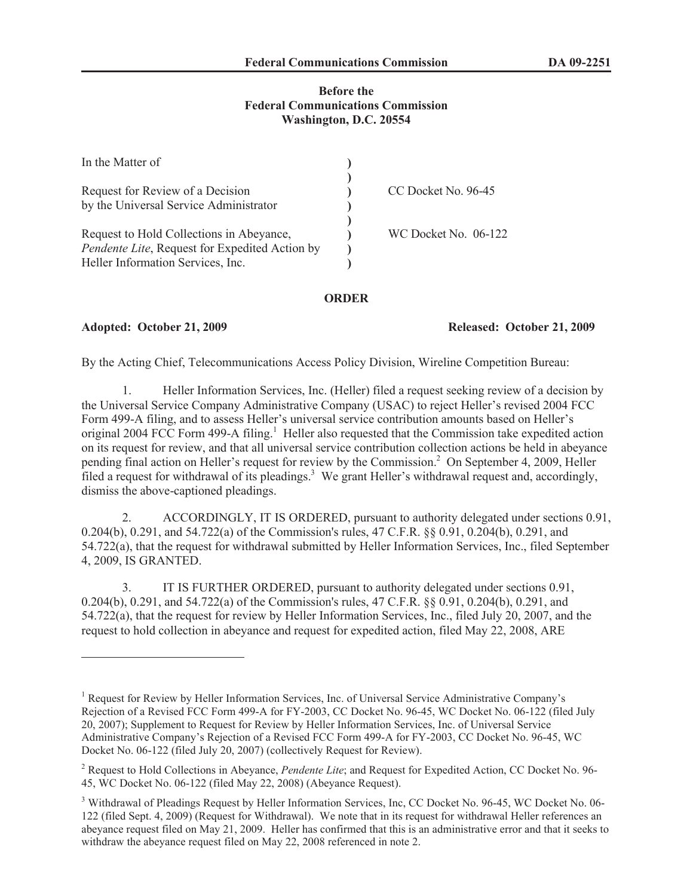# **Before the Federal Communications Commission Washington, D.C. 20554**

| In the Matter of                               |                      |
|------------------------------------------------|----------------------|
|                                                |                      |
| Request for Review of a Decision               | CC Docket No. 96-45  |
| by the Universal Service Administrator         |                      |
|                                                |                      |
| Request to Hold Collections in Abeyance,       | WC Docket No. 06-122 |
| Pendente Lite, Request for Expedited Action by |                      |
| Heller Information Services, Inc.              |                      |

# **ORDER**

### **Adopted: October 21, 2009 Released: October 21, 2009**

By the Acting Chief, Telecommunications Access Policy Division, Wireline Competition Bureau:

1. Heller Information Services, Inc. (Heller) filed a request seeking review of a decision by the Universal Service Company Administrative Company (USAC) to reject Heller's revised 2004 FCC Form 499-A filing, and to assess Heller's universal service contribution amounts based on Heller's original 2004 FCC Form 499-A filing.<sup>1</sup> Heller also requested that the Commission take expedited action on its request for review, and that all universal service contribution collection actions be held in abeyance pending final action on Heller's request for review by the Commission.<sup>2</sup> On September 4, 2009, Heller filed a request for withdrawal of its pleadings.<sup>3</sup> We grant Heller's withdrawal request and, accordingly, dismiss the above-captioned pleadings.

2. ACCORDINGLY, IT IS ORDERED, pursuant to authority delegated under sections 0.91, 0.204(b), 0.291, and 54.722(a) of the Commission's rules, 47 C.F.R. §§ 0.91, 0.204(b), 0.291, and 54.722(a), that the request for withdrawal submitted by Heller Information Services, Inc., filed September 4, 2009, IS GRANTED.

3. IT IS FURTHER ORDERED, pursuant to authority delegated under sections 0.91, 0.204(b), 0.291, and 54.722(a) of the Commission's rules, 47 C.F.R. §§ 0.91, 0.204(b), 0.291, and 54.722(a), that the request for review by Heller Information Services, Inc., filed July 20, 2007, and the request to hold collection in abeyance and request for expedited action, filed May 22, 2008, ARE

<sup>&</sup>lt;sup>1</sup> Request for Review by Heller Information Services, Inc. of Universal Service Administrative Company's Rejection of a Revised FCC Form 499-A for FY-2003, CC Docket No. 96-45, WC Docket No. 06-122 (filed July 20, 2007); Supplement to Request for Review by Heller Information Services, Inc. of Universal Service Administrative Company's Rejection of a Revised FCC Form 499-A for FY-2003, CC Docket No. 96-45, WC Docket No. 06-122 (filed July 20, 2007) (collectively Request for Review).

<sup>2</sup> Request to Hold Collections in Abeyance, *Pendente Lite*; and Request for Expedited Action, CC Docket No. 96- 45, WC Docket No. 06-122 (filed May 22, 2008) (Abeyance Request).

<sup>3</sup> Withdrawal of Pleadings Request by Heller Information Services, Inc, CC Docket No. 96-45, WC Docket No. 06- 122 (filed Sept. 4, 2009) (Request for Withdrawal). We note that in its request for withdrawal Heller references an abeyance request filed on May 21, 2009. Heller has confirmed that this is an administrative error and that it seeks to withdraw the abeyance request filed on May 22, 2008 referenced in note 2.